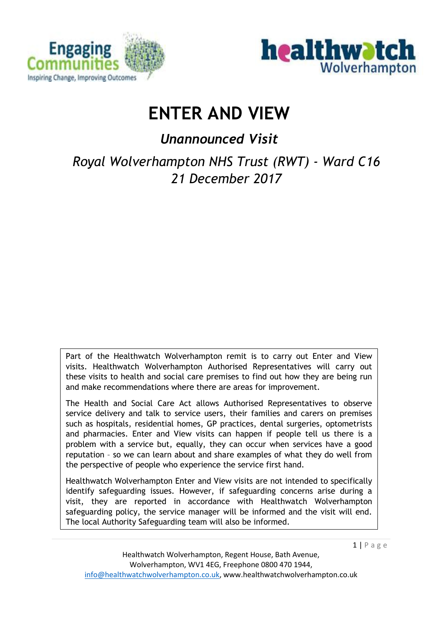



# **ENTER AND VIEW**

*Unannounced Visit* 

*Royal Wolverhampton NHS Trust (RWT) - Ward C16 21 December 2017*

Part of the Healthwatch Wolverhampton remit is to carry out Enter and View visits. Healthwatch Wolverhampton Authorised Representatives will carry out these visits to health and social care premises to find out how they are being run and make recommendations where there are areas for improvement.

The Health and Social Care Act allows Authorised Representatives to observe service delivery and talk to service users, their families and carers on premises such as hospitals, residential homes, GP practices, dental surgeries, optometrists and pharmacies. Enter and View visits can happen if people tell us there is a problem with a service but, equally, they can occur when services have a good reputation – so we can learn about and share examples of what they do well from the perspective of people who experience the service first hand.

Healthwatch Wolverhampton Enter and View visits are not intended to specifically identify safeguarding issues. However, if safeguarding concerns arise during a visit, they are reported in accordance with Healthwatch Wolverhampton safeguarding policy, the service manager will be informed and the visit will end. The local Authority Safeguarding team will also be informed.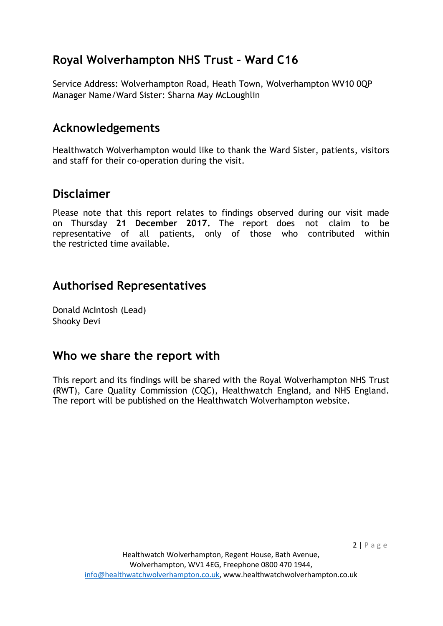# **Royal Wolverhampton NHS Trust – Ward C16**

Service Address: Wolverhampton Road, Heath Town, Wolverhampton WV10 0QP Manager Name/Ward Sister: Sharna May McLoughlin

# **Acknowledgements**

Healthwatch Wolverhampton would like to thank the Ward Sister, patients, visitors and staff for their co-operation during the visit.

## **Disclaimer**

Please note that this report relates to findings observed during our visit made on Thursday **21 December 2017.** The report does not claim to be representative of all patients, only of those who contributed within the restricted time available.

## **Authorised Representatives**

Donald McIntosh (Lead) Shooky Devi

### **Who we share the report with**

This report and its findings will be shared with the Royal Wolverhampton NHS Trust (RWT), Care Quality Commission (CQC), Healthwatch England, and NHS England. The report will be published on the Healthwatch Wolverhampton website.

 $2 | P \text{ age}$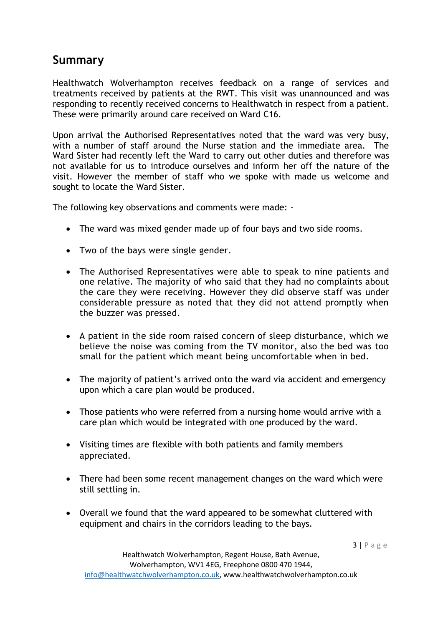### **Summary**

Healthwatch Wolverhampton receives feedback on a range of services and treatments received by patients at the RWT. This visit was unannounced and was responding to recently received concerns to Healthwatch in respect from a patient. These were primarily around care received on Ward C16.

Upon arrival the Authorised Representatives noted that the ward was very busy, with a number of staff around the Nurse station and the immediate area. The Ward Sister had recently left the Ward to carry out other duties and therefore was not available for us to introduce ourselves and inform her off the nature of the visit. However the member of staff who we spoke with made us welcome and sought to locate the Ward Sister.

The following key observations and comments were made: -

- The ward was mixed gender made up of four bays and two side rooms.
- Two of the bays were single gender.
- The Authorised Representatives were able to speak to nine patients and one relative. The majority of who said that they had no complaints about the care they were receiving. However they did observe staff was under considerable pressure as noted that they did not attend promptly when the buzzer was pressed.
- A patient in the side room raised concern of sleep disturbance, which we believe the noise was coming from the TV monitor, also the bed was too small for the patient which meant being uncomfortable when in bed.
- The majority of patient's arrived onto the ward via accident and emergency upon which a care plan would be produced.
- Those patients who were referred from a nursing home would arrive with a care plan which would be integrated with one produced by the ward.
- Visiting times are flexible with both patients and family members appreciated.
- There had been some recent management changes on the ward which were still settling in.
- Overall we found that the ward appeared to be somewhat cluttered with equipment and chairs in the corridors leading to the bays.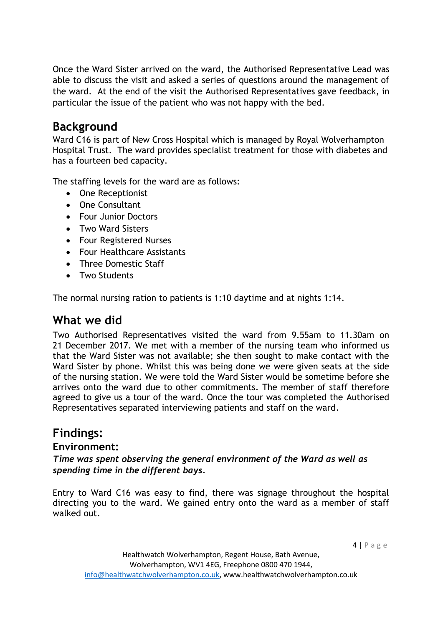Once the Ward Sister arrived on the ward, the Authorised Representative Lead was able to discuss the visit and asked a series of questions around the management of the ward. At the end of the visit the Authorised Representatives gave feedback, in particular the issue of the patient who was not happy with the bed.

### **Background**

Ward C16 is part of New Cross Hospital which is managed by Royal Wolverhampton Hospital Trust. The ward provides specialist treatment for those with diabetes and has a fourteen bed capacity.

The staffing levels for the ward are as follows:

- One Receptionist
- One Consultant
- Four Junior Doctors
- Two Ward Sisters
- Four Registered Nurses
- Four Healthcare Assistants
- Three Domestic Staff
- Two Students

The normal nursing ration to patients is 1:10 daytime and at nights 1:14.

# **What we did**

Two Authorised Representatives visited the ward from 9.55am to 11.30am on 21 December 2017. We met with a member of the nursing team who informed us that the Ward Sister was not available; she then sought to make contact with the Ward Sister by phone. Whilst this was being done we were given seats at the side of the nursing station. We were told the Ward Sister would be sometime before she arrives onto the ward due to other commitments. The member of staff therefore agreed to give us a tour of the ward. Once the tour was completed the Authorised Representatives separated interviewing patients and staff on the ward.

## **Findings:**

#### **Environment:**

*Time was spent observing the general environment of the Ward as well as spending time in the different bays.* 

Entry to Ward C16 was easy to find, there was signage throughout the hospital directing you to the ward. We gained entry onto the ward as a member of staff walked out.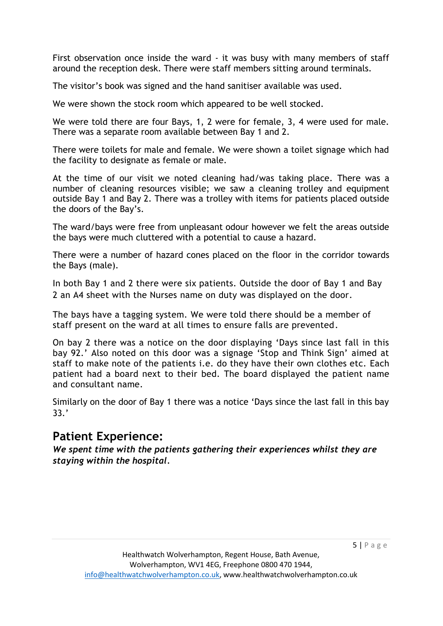First observation once inside the ward - it was busy with many members of staff around the reception desk. There were staff members sitting around terminals.

The visitor's book was signed and the hand sanitiser available was used.

We were shown the stock room which appeared to be well stocked.

We were told there are four Bays, 1, 2 were for female, 3, 4 were used for male. There was a separate room available between Bay 1 and 2.

There were toilets for male and female. We were shown a toilet signage which had the facility to designate as female or male.

At the time of our visit we noted cleaning had/was taking place. There was a number of cleaning resources visible; we saw a cleaning trolley and equipment outside Bay 1 and Bay 2. There was a trolley with items for patients placed outside the doors of the Bay's.

The ward/bays were free from unpleasant odour however we felt the areas outside the bays were much cluttered with a potential to cause a hazard.

There were a number of hazard cones placed on the floor in the corridor towards the Bays (male).

In both Bay 1 and 2 there were six patients. Outside the door of Bay 1 and Bay 2 an A4 sheet with the Nurses name on duty was displayed on the door.

The bays have a tagging system. We were told there should be a member of staff present on the ward at all times to ensure falls are prevented.

On bay 2 there was a notice on the door displaying 'Days since last fall in this bay 92.' Also noted on this door was a signage 'Stop and Think Sign' aimed at staff to make note of the patients i.e. do they have their own clothes etc. Each patient had a board next to their bed. The board displayed the patient name and consultant name.

Similarly on the door of Bay 1 there was a notice 'Days since the last fall in this bay 33.'

### **Patient Experience:**

*We spent time with the patients gathering their experiences whilst they are staying within the hospital.*

 $5 | P \text{ age}$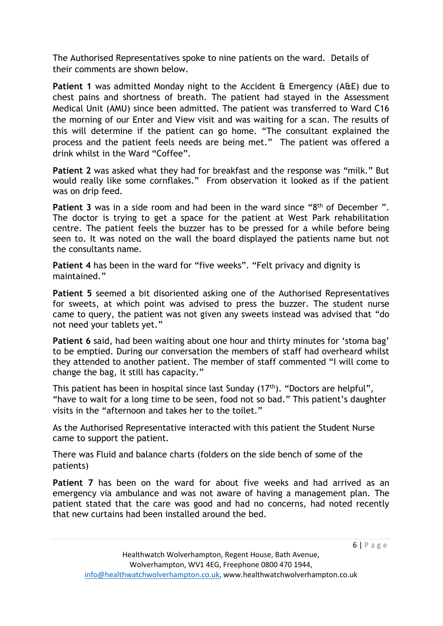The Authorised Representatives spoke to nine patients on the ward. Details of their comments are shown below.

**Patient 1** was admitted Monday night to the Accident & Emergency (A&E) due to chest pains and shortness of breath. The patient had stayed in the Assessment Medical Unit (AMU) since been admitted. The patient was transferred to Ward C16 the morning of our Enter and View visit and was waiting for a scan. The results of this will determine if the patient can go home. "The consultant explained the process and the patient feels needs are being met." The patient was offered a drink whilst in the Ward "Coffee".

**Patient 2** was asked what they had for breakfast and the response was "milk." But would really like some cornflakes." From observation it looked as if the patient was on drip feed.

Patient 3 was in a side room and had been in the ward since "8<sup>th</sup> of December". The doctor is trying to get a space for the patient at West Park rehabilitation centre. The patient feels the buzzer has to be pressed for a while before being seen to. It was noted on the wall the board displayed the patients name but not the consultants name.

**Patient 4** has been in the ward for "five weeks". "Felt privacy and dignity is maintained."

**Patient 5** seemed a bit disoriented asking one of the Authorised Representatives for sweets, at which point was advised to press the buzzer. The student nurse came to query, the patient was not given any sweets instead was advised that "do not need your tablets yet."

**Patient 6** said, had been waiting about one hour and thirty minutes for 'stoma bag' to be emptied. During our conversation the members of staff had overheard whilst they attended to another patient. The member of staff commented "I will come to change the bag, it still has capacity."

This patient has been in hospital since last Sunday  $(17<sup>th</sup>)$ . "Doctors are helpful", "have to wait for a long time to be seen, food not so bad." This patient's daughter visits in the "afternoon and takes her to the toilet."

As the Authorised Representative interacted with this patient the Student Nurse came to support the patient.

There was Fluid and balance charts (folders on the side bench of some of the patients)

**Patient 7** has been on the ward for about five weeks and had arrived as an emergency via ambulance and was not aware of having a management plan. The patient stated that the care was good and had no concerns, had noted recently that new curtains had been installed around the bed.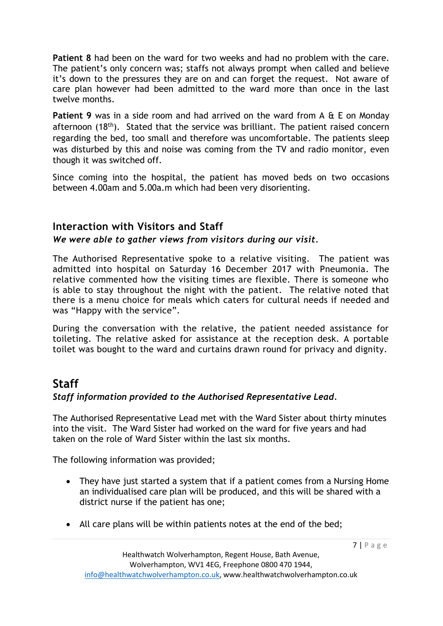**Patient 8** had been on the ward for two weeks and had no problem with the care. The patient's only concern was; staffs not always prompt when called and believe it's down to the pressures they are on and can forget the request. Not aware of care plan however had been admitted to the ward more than once in the last twelve months.

**Patient 9** was in a side room and had arrived on the ward from A & E on Monday afternoon  $(18<sup>th</sup>)$ . Stated that the service was brilliant. The patient raised concern regarding the bed, too small and therefore was uncomfortable. The patients sleep was disturbed by this and noise was coming from the TV and radio monitor, even though it was switched off.

Since coming into the hospital, the patient has moved beds on two occasions between 4.00am and 5.00a.m which had been very disorienting.

#### **Interaction with Visitors and Staff**

#### *We were able to gather views from visitors during our visit.*

The Authorised Representative spoke to a relative visiting. The patient was admitted into hospital on Saturday 16 December 2017 with Pneumonia. The relative commented how the visiting times are flexible. There is someone who is able to stay throughout the night with the patient. The relative noted that there is a menu choice for meals which caters for cultural needs if needed and was "Happy with the service".

During the conversation with the relative, the patient needed assistance for toileting. The relative asked for assistance at the reception desk. A portable toilet was bought to the ward and curtains drawn round for privacy and dignity.

### **Staff**

#### *Staff information provided to the Authorised Representative Lead.*

The Authorised Representative Lead met with the Ward Sister about thirty minutes into the visit. The Ward Sister had worked on the ward for five years and had taken on the role of Ward Sister within the last six months.

The following information was provided;

- They have just started a system that if a patient comes from a Nursing Home an individualised care plan will be produced, and this will be shared with a district nurse if the patient has one;
- All care plans will be within patients notes at the end of the bed;

7 | P a g e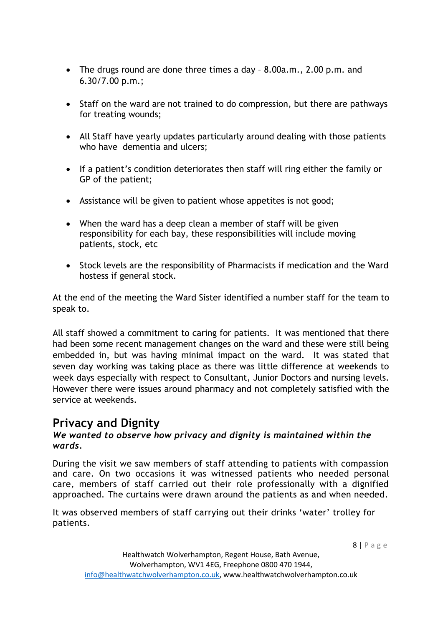- The drugs round are done three times a day 8.00a.m., 2.00 p.m. and 6.30/7.00 p.m.;
- Staff on the ward are not trained to do compression, but there are pathways for treating wounds;
- All Staff have yearly updates particularly around dealing with those patients who have dementia and ulcers;
- If a patient's condition deteriorates then staff will ring either the family or GP of the patient;
- Assistance will be given to patient whose appetites is not good;
- When the ward has a deep clean a member of staff will be given responsibility for each bay, these responsibilities will include moving patients, stock, etc
- Stock levels are the responsibility of Pharmacists if medication and the Ward hostess if general stock.

At the end of the meeting the Ward Sister identified a number staff for the team to speak to.

All staff showed a commitment to caring for patients. It was mentioned that there had been some recent management changes on the ward and these were still being embedded in, but was having minimal impact on the ward. It was stated that seven day working was taking place as there was little difference at weekends to week days especially with respect to Consultant, Junior Doctors and nursing levels. However there were issues around pharmacy and not completely satisfied with the service at weekends.

## **Privacy and Dignity**

#### *We wanted to observe how privacy and dignity is maintained within the wards.*

During the visit we saw members of staff attending to patients with compassion and care. On two occasions it was witnessed patients who needed personal care, members of staff carried out their role professionally with a dignified approached. The curtains were drawn around the patients as and when needed.

It was observed members of staff carrying out their drinks 'water' trolley for patients.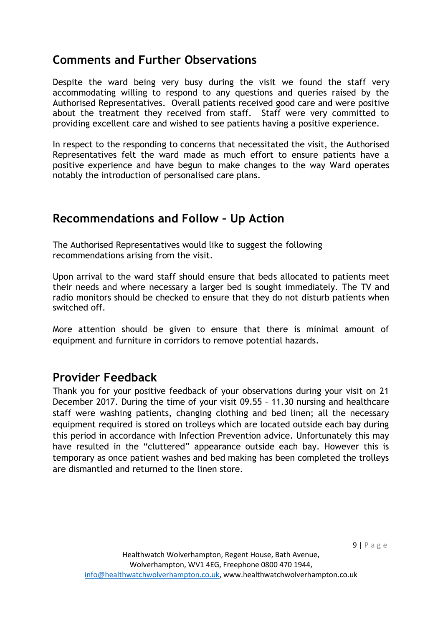### **Comments and Further Observations**

Despite the ward being very busy during the visit we found the staff very accommodating willing to respond to any questions and queries raised by the Authorised Representatives. Overall patients received good care and were positive about the treatment they received from staff. Staff were very committed to providing excellent care and wished to see patients having a positive experience.

In respect to the responding to concerns that necessitated the visit, the Authorised Representatives felt the ward made as much effort to ensure patients have a positive experience and have begun to make changes to the way Ward operates notably the introduction of personalised care plans.

### **Recommendations and Follow – Up Action**

The Authorised Representatives would like to suggest the following recommendations arising from the visit.

Upon arrival to the ward staff should ensure that beds allocated to patients meet their needs and where necessary a larger bed is sought immediately. The TV and radio monitors should be checked to ensure that they do not disturb patients when switched off.

More attention should be given to ensure that there is minimal amount of equipment and furniture in corridors to remove potential hazards.

### **Provider Feedback**

Thank you for your positive feedback of your observations during your visit on 21 December 2017. During the time of your visit 09.55 – 11.30 nursing and healthcare staff were washing patients, changing clothing and bed linen; all the necessary equipment required is stored on trolleys which are located outside each bay during this period in accordance with Infection Prevention advice. Unfortunately this may have resulted in the "cluttered" appearance outside each bay. However this is temporary as once patient washes and bed making has been completed the trolleys are dismantled and returned to the linen store.

9 | P a g e